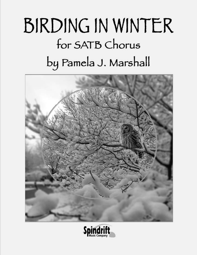# BIRDING IN WINTER for SATB Chorus by Pamela J. Marshall



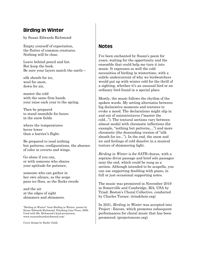# Birding in Winter

by Susan Edwards Richmond

Empty yourself of expectation, the flutter of common creatures. Nothing will be close.

Leave behind pencil and list. But keep the book. Be sure your layers match the earth—

silk sheath for ice, wool for snow, down for air,

master the cold with the same firm hands your raise each year to the spring.

Then be prepared to stand immobile for hours in the snow fields

where the temperatures hover lower than a harrier's flight.

Be prepared to read nothing but patterns, configurations, the absence of color in coverts and wings.

Go alone if you can, or with someone who shares your aptitude for patience,

someone who can gather in her own silence, as the scope pans ice floes, as the flocks recede

and the air at the edges of sight shimmers and shimmers.

"Birding in Winter" from Birding in Winter, poems by Susan Edwards Richmond, Finishing Line Press, 2006. Used with Ms. Richmond's kind permission. www.susanedwardsrichmond.com/

Cover design by Kathy Galdi.

## Notes

I've been enchanted by Susan's poem for years, waiting for the opportunity and the ensemble that could help me turn it into music. It expresses so well the cold necessities of birding in wintertime, with a subtle undercurrent of why we birdwatchers would put up with winter cold for the thrill of a sighting, whether it's an unusual bird or an ordinary bird found in a special place.

Mostly, the music follows the rhythm of the spoken words. My setting alternates between big declarative moments and textures to evoke a mood. The declarations might slip in and out of unison/octaves ("master the cold..."). The textural sections vary between almost modal with chromatic inflections (for example, "nothing but patterns,...") and more chromatic (the descending version of "silk sheath for ice..."). In the end, the snow and ice and feelings of cold dissolve in a musical texture of shimmering light.

*Birding in Winter* is for SATB chorus, with a soprano divisi passage and brief solo passages near the end, which could be sung as a section. Although intended to be acapella, you can use supporting doubling with piano, in full or just occasional supporting notes.

The music was premiered in November 2019 in Somerville and Cambridge, MA, USA by Triad: Boston's Choral Collective, conducted by Charles Turner. (triadchoir.org)

In 2021, *Birding in Winter* was accepted into Project : Encore, which promotes subsequent performances for choral music that has been premiered. (projectencore.org)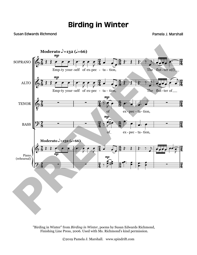# **Birding in Winter**

### Susan Edwards Richmond **Pamela J. Marshall**



"Birding in Winter" from *Birding in Winter*, poems by Susan Edwards Richmond, Finishing Line Press, 2006. Used with Ms. Richmond's kind permission.

©2019 Pamela J. Marshall. www.spindrift.com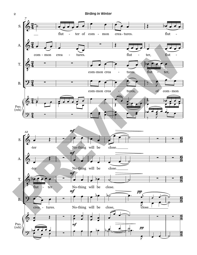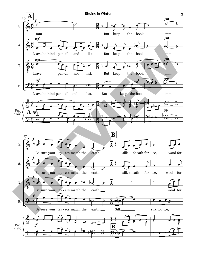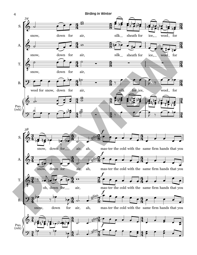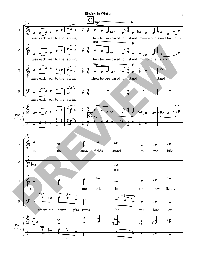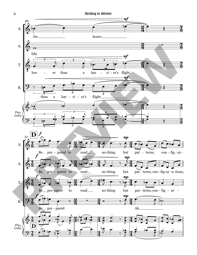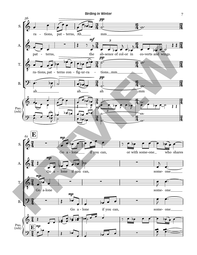



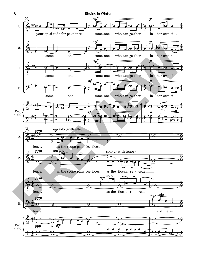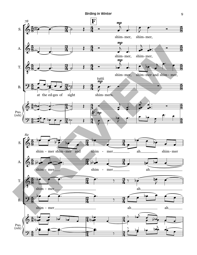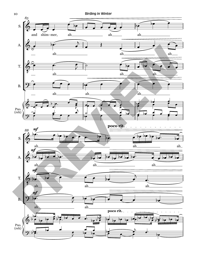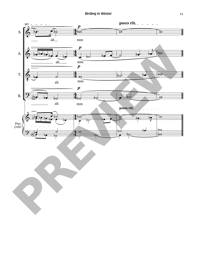